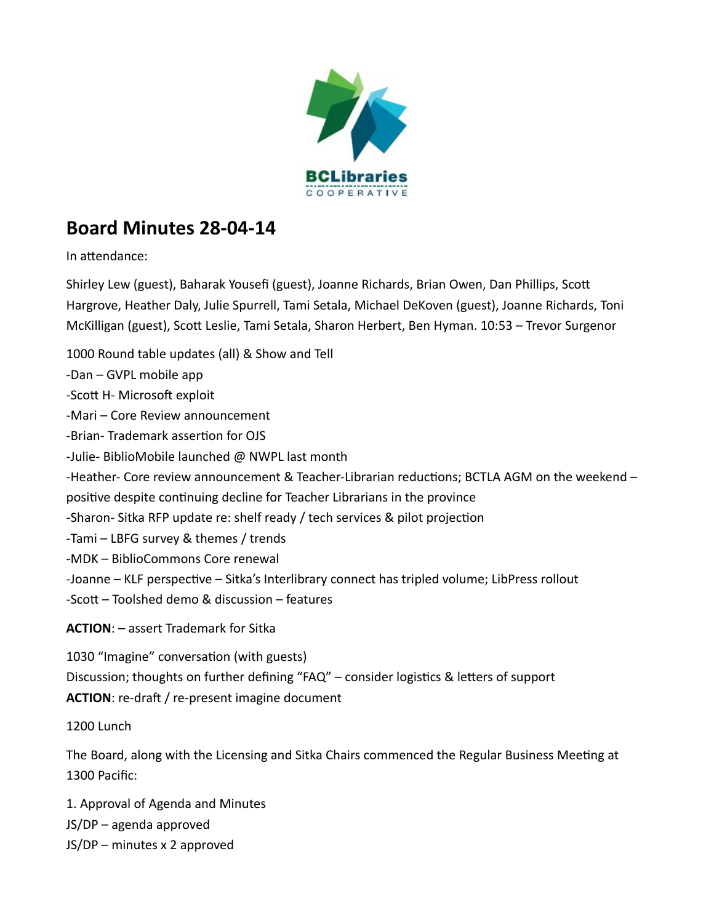

## **Board Minutes 28-04-14**

In attendance:

Shirley Lew (guest), Baharak Yousefi (guest), Joanne Richards, Brian Owen, Dan Phillips, Scott Hargrove, Heather Daly, Julie Spurrell, Tami Setala, Michael DeKoven (guest), Joanne Richards, Toni McKilligan (guest), Scott Leslie, Tami Setala, Sharon Herbert, Ben Hyman. 10:53 – Trevor Surgenor

1000 Round table updates (all) & Show and Tell -Dan – GVPL mobile app -Scott H- Microsoft exploit -Mari – Core Review announcement -Brian- Trademark assertion for OJS -Julie- BiblioMobile launched @ NWPL last month -Heather- Core review announcement & Teacher-Librarian reductions; BCTLA AGM on the weekend – positive despite continuing decline for Teacher Librarians in the province -Sharon- Sitka RFP update re: shelf ready / tech services & pilot projection -Tami – LBFG survey & themes / trends -MDK – BiblioCommons Core renewal -Joanne – KLF perspective – Sitka's Interlibrary connect has tripled volume; LibPress rollout -Scott – Toolshed demo & discussion – features **ACTION**: – assert Trademark for Sitka

1030 "Imagine" conversation (with guests) Discussion; thoughts on further defining "FAQ" – consider logistics & letters of support **ACTION**: re-draft / re-present imagine document

1200 Lunch

The Board, along with the Licensing and Sitka Chairs commenced the Regular Business Meeting at 1300 Pacific:

1. Approval of Agenda and Minutes JS/DP – agenda approved JS/DP – minutes x 2 approved